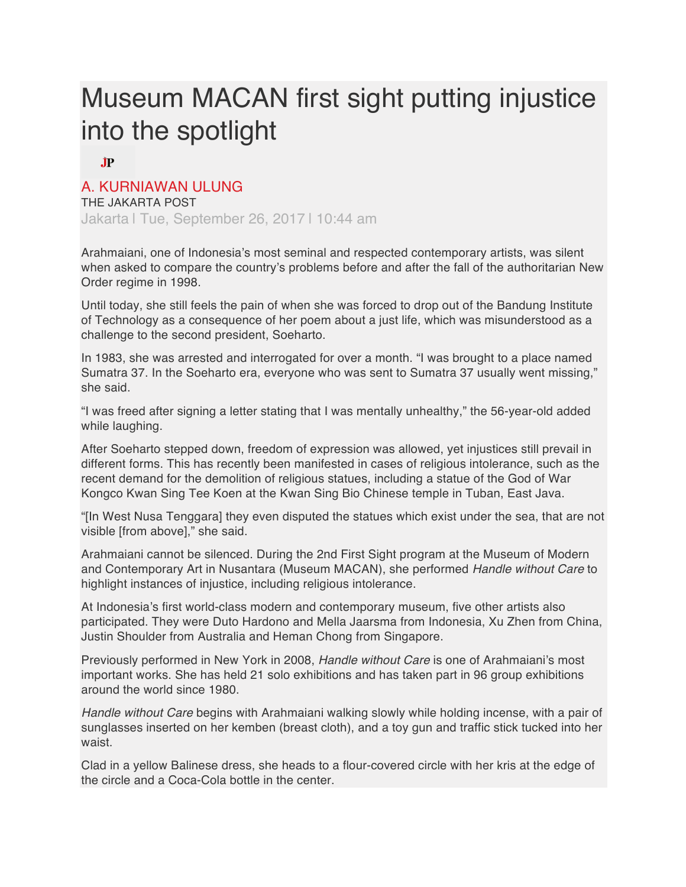## Museum MACAN first sight putting injustice into the spotlight

**JP** 

## A. KURNIAWAN ULUNG

THE JAKARTA POST Jakarta | Tue, September 26, 2017 | 10:44 am

Arahmaiani, one of Indonesia's most seminal and respected contemporary artists, was silent when asked to compare the country's problems before and after the fall of the authoritarian New Order regime in 1998.

Until today, she still feels the pain of when she was forced to drop out of the Bandung Institute of Technology as a consequence of her poem about a just life, which was misunderstood as a challenge to the second president, Soeharto.

In 1983, she was arrested and interrogated for over a month. "I was brought to a place named Sumatra 37. In the Soeharto era, everyone who was sent to Sumatra 37 usually went missing," she said.

"I was freed after signing a letter stating that I was mentally unhealthy," the 56-year-old added while laughing.

After Soeharto stepped down, freedom of expression was allowed, yet injustices still prevail in different forms. This has recently been manifested in cases of religious intolerance, such as the recent demand for the demolition of religious statues, including a statue of the God of War Kongco Kwan Sing Tee Koen at the Kwan Sing Bio Chinese temple in Tuban, East Java.

"[In West Nusa Tenggara] they even disputed the statues which exist under the sea, that are not visible [from above]," she said.

Arahmaiani cannot be silenced. During the 2nd First Sight program at the Museum of Modern and Contemporary Art in Nusantara (Museum MACAN), she performed *Handle without Care* to highlight instances of injustice, including religious intolerance.

At Indonesia's first world-class modern and contemporary museum, five other artists also participated. They were Duto Hardono and Mella Jaarsma from Indonesia, Xu Zhen from China, Justin Shoulder from Australia and Heman Chong from Singapore.

Previously performed in New York in 2008, *Handle without Care* is one of Arahmaiani's most important works. She has held 21 solo exhibitions and has taken part in 96 group exhibitions around the world since 1980.

*Handle without Care* begins with Arahmaiani walking slowly while holding incense, with a pair of sunglasses inserted on her kemben (breast cloth), and a toy gun and traffic stick tucked into her waist.

Clad in a yellow Balinese dress, she heads to a flour-covered circle with her kris at the edge of the circle and a Coca-Cola bottle in the center.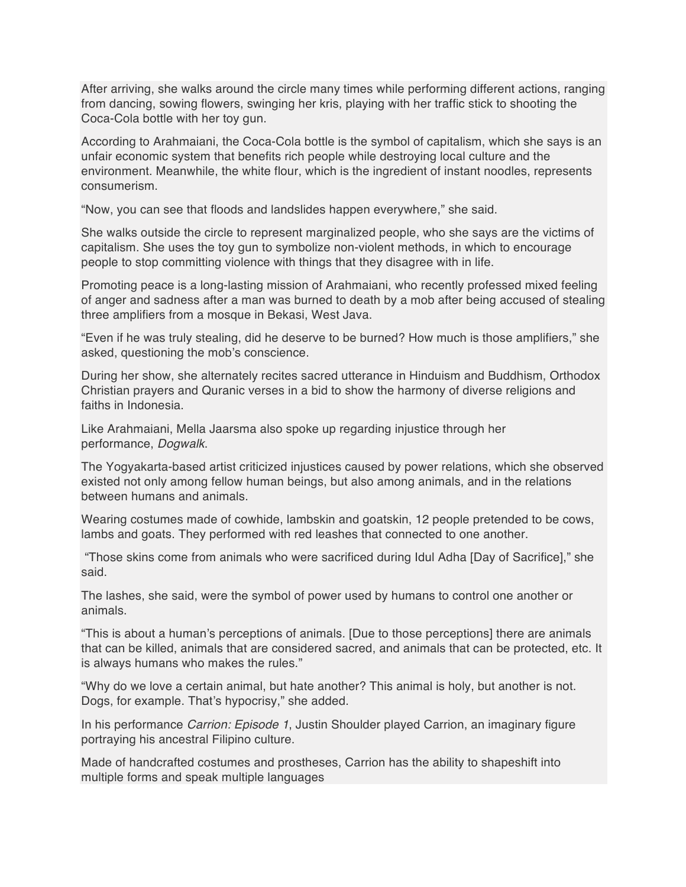After arriving, she walks around the circle many times while performing different actions, ranging from dancing, sowing flowers, swinging her kris, playing with her traffic stick to shooting the Coca-Cola bottle with her toy gun.

According to Arahmaiani, the Coca-Cola bottle is the symbol of capitalism, which she says is an unfair economic system that benefits rich people while destroying local culture and the environment. Meanwhile, the white flour, which is the ingredient of instant noodles, represents consumerism.

"Now, you can see that floods and landslides happen everywhere," she said.

She walks outside the circle to represent marginalized people, who she says are the victims of capitalism. She uses the toy gun to symbolize non-violent methods, in which to encourage people to stop committing violence with things that they disagree with in life.

Promoting peace is a long-lasting mission of Arahmaiani, who recently professed mixed feeling of anger and sadness after a man was burned to death by a mob after being accused of stealing three amplifiers from a mosque in Bekasi, West Java.

"Even if he was truly stealing, did he deserve to be burned? How much is those amplifiers," she asked, questioning the mob's conscience.

During her show, she alternately recites sacred utterance in Hinduism and Buddhism, Orthodox Christian prayers and Quranic verses in a bid to show the harmony of diverse religions and faiths in Indonesia.

Like Arahmaiani, Mella Jaarsma also spoke up regarding injustice through her performance, *Dogwalk*.

The Yogyakarta-based artist criticized injustices caused by power relations, which she observed existed not only among fellow human beings, but also among animals, and in the relations between humans and animals.

Wearing costumes made of cowhide, lambskin and goatskin, 12 people pretended to be cows, lambs and goats. They performed with red leashes that connected to one another.

"Those skins come from animals who were sacrificed during Idul Adha [Day of Sacrifice]," she said.

The lashes, she said, were the symbol of power used by humans to control one another or animals.

"This is about a human's perceptions of animals. [Due to those perceptions] there are animals that can be killed, animals that are considered sacred, and animals that can be protected, etc. It is always humans who makes the rules."

"Why do we love a certain animal, but hate another? This animal is holy, but another is not. Dogs, for example. That's hypocrisy," she added.

In his performance *Carrion: Episode 1*, Justin Shoulder played Carrion, an imaginary figure portraying his ancestral Filipino culture.

Made of handcrafted costumes and prostheses, Carrion has the ability to shapeshift into multiple forms and speak multiple languages